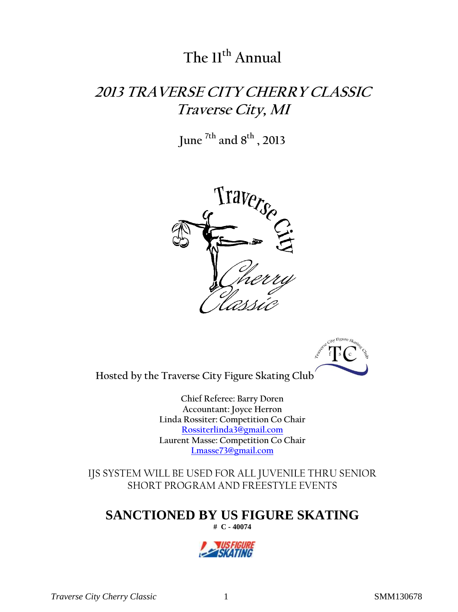# **The 11 th Annual**

# **2013 TRAVERSE CITY CHERRY CLASSIC Traverse City, MI**

**June 7th and 8 th , 2013**





**Hosted by the Traverse City Figure Skating Club**

**Chief Referee: Barry Doren Accountant: Joyce Herron Linda Rossiter: Competition Co Chair [Rossiterlinda3@gmail.com](mailto:Rossiterlinda3@gmail.com) Laurent Masse: Competition Co Chair [Lmasse73@gmail.com](mailto:Lmasse73@gmail.com)**

IJS SYSTEM WILL BE USED FOR ALL JUVENILE THRU SENIOR SHORT PROGRAM AND FREESTYLE EVENTS

**SANCTIONED BY US FIGURE SKATING**

**# C - 40074** 



*Traverse City Cherry Classic* 1 SMM130678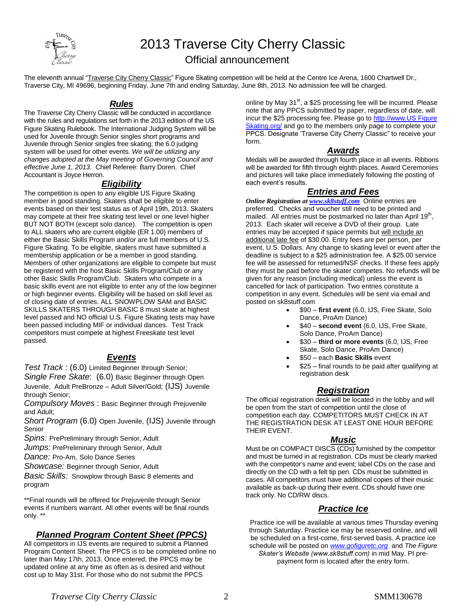

# 2013 Traverse City Cherry Classic

### Official announcement

The eleventh annual "Traverse City Cherry Classic" Figure Skating competition will be held at the Centre Ice Arena, 1600 Chartwell Dr., Traverse City, MI 49696, beginning Friday, June 7th and ending Saturday, June 8th, 2013. No admission fee will be charged.

### *Rules*

The Traverse City Cherry Classic will be conducted in accordance with the rules and regulations set forth in the 2013 edition of the US Figure Skating Rulebook. The International Judging System will be used for Juvenile through Senior singles short programs and Juvenile through Senior singles free skating; the 6.0 judging system will be used for other events. *We will be utilizing any changes adopted at the May meeting of Governing Council and effective June 1, 2013.* Chief Referee: Barry Doren. Chief Accountant is Joyce Herron.

### *Eligibility*

The competition is open to any eligible US Figure Skating member in good standing. Skaters shall be eligible to enter events based on their test status as of April 19th, 2013. Skaters may compete at their free skating test level or one level higher BUT NOT BOTH (except solo dance). The competition is open to ALL skaters who are current eligible (ER 1.00) members of either the Basic Skills Program and/or are full members of U.S. Figure Skating. To be eligible, skaters must have submitted a membership application or be a member in good standing. Members of other organizations are eligible to compete but must be registered with the host Basic Skills Program/Club or any other Basic Skills Program/Club. Skaters who compete in a basic skills event are not eligible to enter any of the low beginner or high beginner events. Eligibility will be based on skill level as of closing date of entries. ALL SNOWPLOW SAM and BASIC SKILLS SKATERS THROUGH BASIC 8 must skate at highest level passed and NO official U.S. Figure Skating tests may have been passed including MIF or individual dances. Test Track competitors must compete at highest Freeskate test level passed.

### *Events*

*Test Track* : (6.0) Limited Beginner through Senior;

*Single Free Skate*: (6.0) Basic Beginner through Open Juvenile, Adult PreBronze – Adult Silver/Gold; (IJS) Juvenile through Senior;

*Compulsory Moves* : Basic Beginner through Prejuvenile and Adult;

*Short Program* (6.0) Open Juvenile, (IJS) Juvenile through Senior

*Spins:* PrePreliminary through Senior, Adult

*Jumps:* PrePreliminary through Senior, Adult

*Dance:* Pro-Am, Solo Dance Series

*Showcase:* Beginner through Senior, Adult

*Basic Skills:* Snowplow through Basic 8 elements and program

\*\*Final rounds will be offered for Prejuvenile through Senior events if numbers warrant. All other events will be final rounds only. \*\*

### *Planned Program Content Sheet (PPCS)*

All competitors in IJS events are required to submit a Planned Program Content Sheet. The PPCS is to be completed online no later than May 17th, 2013. Once entered, the PPCS may be updated online at any time as often as is desired and without cost up to May 31st. For those who do not submit the PPCS

online by May 31<sup>st</sup>, a \$25 processing fee will be incurred. Please note that any PPCS submitted by paper, regardless of date, will incur the \$25 processing fee. Please go to http://www.US Figure Skating.org/ and go to the members only page to complete your PPCS. Designate 'Traverse City Cherry Classic" to receive your form.

### *Awards*

Medals will be awarded through fourth place in all events. Ribbons will be awarded for fifth through eighth places. Award Ceremonies and pictures will take place immediately following the posting of each event's results.

### *Entries and Fees*

*Online Registration a[t www.sk8stuff.com](http://www.sk8stuff.com/)* Online entries are preferred. Checks and voucher still need to be printed and .<br>mailed. All entries must be postmarked no later than April 19<sup>th</sup>, 2013. Each skater will receive a DVD of their group. Late entries may be accepted if space permits but will include an additional late fee of \$30.00. Entry fees are per person, per event, U.S. Dollars. Any change to skating level or event after the deadline is subject to a \$25 administration fee. A \$25.00 service fee will be assessed for returned/NSF checks. If these fees apply they must be paid before the skater competes. No refunds will be given for any reason (including medical) unless the event is cancelled for lack of participation. Two entries constitute a competition in any event. Schedules will be sent via email and posted on sk8stuff.com

- \$90 **first event** (6.0, IJS, Free Skate, Solo Dance, ProAm Dance)
- \$40 **second event** (6.0, IJS, Free Skate, Solo Dance, ProAm Dance)
- \$30 **third or more events** (6.0, IJS, Free Skate, Solo Dance, ProAm Dance)
- \$50 each **Basic Skills** event
- \$25 final rounds to be paid after qualifying at registration desk

### *Registration*

The official registration desk will be located in the lobby and will be open from the start of competition until the close of competition each day. COMPETITORS MUST CHECK IN AT THE REGISTRATION DESK AT LEAST ONE HOUR BEFORE THEIR EVENT.

### *Music*

Must be on COMPACT DISCS (CDs) furnished by the competitor and must be turned in at registration. CDs must be clearly marked with the competitor's name and event; label CDs on the case and directly on the CD with a felt tip pen. CDs must be submitted in cases. All competitors must have additional copies of their music available as back-up during their event. CDs should have one track only. No CD/RW discs.

### *Practice Ice*

Practice ice will be available at various times Thursday evening through Saturday. Practice ice may be reserved online, and will be scheduled on a first-come, first-served basis. A practice ice schedule will be posted on *[www.gofiguretc.org](http://www.gofiguretc.org/)* and *The Figure Skater's Website (www.sk8stuff.com)* in mid May. PI pre-

payment form is located after the entry form.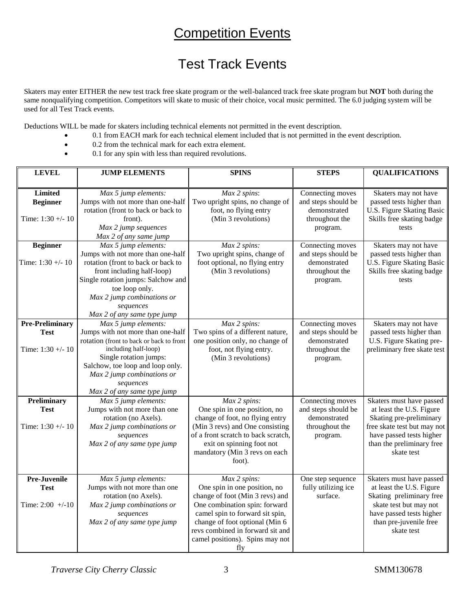## **Competition Events**

## Test Track Events

Skaters may enter EITHER the new test track free skate program or the well-balanced track free skate program but **NOT** both during the same nonqualifying competition. Competitors will skate to music of their choice, vocal music permitted. The 6.0 judging system will be used for all Test Track events.

Deductions WILL be made for skaters including technical elements not permitted in the event description.

- 0.1 from EACH mark for each technical element included that is not permitted in the event description.
	- 0.2 from the technical mark for each extra element.
- $\bullet$  0.1 for any spin with less than required revolutions.

| <b>LEVEL</b>                                                                                                                                                                                                                       | <b>JUMP ELEMENTS</b>                                                                                                                                                                                                                                                         | <b>SPINS</b>                                                                                                                                                                                                                                        | <b>STEPS</b>                                                                          | <b>QUALIFICATIONS</b>                                                                                                                                                                 |
|------------------------------------------------------------------------------------------------------------------------------------------------------------------------------------------------------------------------------------|------------------------------------------------------------------------------------------------------------------------------------------------------------------------------------------------------------------------------------------------------------------------------|-----------------------------------------------------------------------------------------------------------------------------------------------------------------------------------------------------------------------------------------------------|---------------------------------------------------------------------------------------|---------------------------------------------------------------------------------------------------------------------------------------------------------------------------------------|
| <b>Limited</b><br><b>Beginner</b><br>Time: $1:30 + -10$                                                                                                                                                                            | Max 5 jump elements:<br>Jumps with not more than one-half<br>rotation (front to back or back to<br>front).<br>Max 2 jump sequences<br>Max 2 of any same jump                                                                                                                 | Max 2 spins:<br>Two upright spins, no change of<br>foot, no flying entry<br>(Min 3 revolutions)                                                                                                                                                     | Connecting moves<br>and steps should be<br>demonstrated<br>throughout the<br>program. | Skaters may not have<br>passed tests higher than<br>U.S. Figure Skating Basic<br>Skills free skating badge<br>tests                                                                   |
| <b>Beginner</b><br>Time: $1:30 + -10$                                                                                                                                                                                              | $\overline{Max}$ 5 jump elements:<br>Jumps with not more than one-half<br>rotation (front to back or back to<br>front including half-loop)<br>Single rotation jumps: Salchow and<br>toe loop only.<br>Max 2 jump combinations or<br>sequences<br>Max 2 of any same type jump | Connecting moves<br>Max 2 spins:<br>Two upright spins, change of<br>and steps should be<br>foot optional, no flying entry<br>demonstrated<br>(Min 3 revolutions)<br>throughout the<br>program.                                                      |                                                                                       | Skaters may not have<br>passed tests higher than<br>U.S. Figure Skating Basic<br>Skills free skating badge<br>tests                                                                   |
| <b>Pre-Preliminary</b><br><b>Test</b><br>Time: $1:30 + -10$                                                                                                                                                                        | Max 5 jump elements:<br>Jumps with not more than one-half<br>rotation (front to back or back to front<br>including half-loop)<br>Single rotation jumps:<br>Salchow, toe loop and loop only.<br>Max 2 jump combinations or<br>sequences<br>Max 2 of any same type jump        | Max 2 spins:<br>Two spins of a different nature,<br>one position only, no change of<br>foot, not flying entry.<br>(Min 3 revolutions)                                                                                                               | Connecting moves<br>and steps should be<br>demonstrated<br>throughout the<br>program. | Skaters may not have<br>passed tests higher than<br>U.S. Figure Skating pre-<br>preliminary free skate test                                                                           |
| Max 5 jump elements:<br>Preliminary<br>Jumps with not more than one<br><b>Test</b><br>rotation (no Axels).<br>Time: $1:30 +/- 10$<br>Max 2 jump combinations or<br>sequences<br>Max 2 of any same type jump                        |                                                                                                                                                                                                                                                                              | Max 2 spins:<br>One spin in one position, no<br>change of foot, no flying entry<br>(Min 3 revs) and One consisting<br>of a front scratch to back scratch,<br>exit on spinning foot not<br>mandatory (Min 3 revs on each<br>foot).                   | Connecting moves<br>and steps should be<br>demonstrated<br>throughout the<br>program. | Skaters must have passed<br>at least the U.S. Figure<br>Skating pre-preliminary<br>free skate test but may not<br>have passed tests higher<br>than the preliminary free<br>skate test |
| <b>Pre-Juvenile</b><br>Max 5 jump elements:<br>Max 2 spins:<br>Jumps with not more than one<br><b>Test</b><br>rotation (no Axels).<br>Time: $2:00 +/-10$<br>Max 2 jump combinations or<br>sequences<br>Max 2 of any same type jump |                                                                                                                                                                                                                                                                              | One spin in one position, no<br>change of foot (Min 3 revs) and<br>One combination spin: forward<br>camel spin to forward sit spin,<br>change of foot optional (Min 6<br>revs combined in forward sit and<br>camel positions). Spins may not<br>fly | One step sequence<br>fully utilizing ice<br>surface.                                  | Skaters must have passed<br>at least the U.S. Figure<br>Skating preliminary free<br>skate test but may not<br>have passed tests higher<br>than pre-juvenile free<br>skate test        |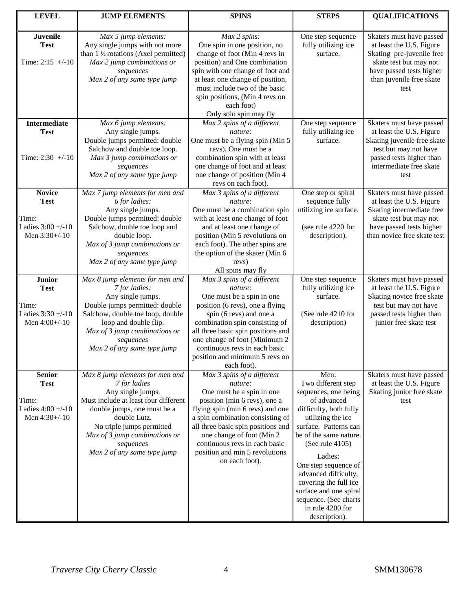| <b>LEVEL</b>                                         | <b>JUMP ELEMENTS</b>                                                                                                                                                             | <b>SPINS</b>                                                                                                                                                                           | <b>STEPS</b>                                         | <b>QUALIFICATIONS</b>                                                                                       |
|------------------------------------------------------|----------------------------------------------------------------------------------------------------------------------------------------------------------------------------------|----------------------------------------------------------------------------------------------------------------------------------------------------------------------------------------|------------------------------------------------------|-------------------------------------------------------------------------------------------------------------|
|                                                      |                                                                                                                                                                                  |                                                                                                                                                                                        |                                                      |                                                                                                             |
| <b>Juvenile</b><br><b>Test</b><br>Time: $2:15$ +/-10 | Max 5 jump elements:<br>Max 2 spins:<br>Any single jumps with not more<br>One spin in one position, no<br>than 1 1/2 rotations (Axel permitted)<br>change of foot (Min 4 revs in |                                                                                                                                                                                        | One step sequence<br>fully utilizing ice<br>surface. | Skaters must have passed<br>at least the U.S. Figure<br>Skating pre-juvenile free<br>skate test but may not |
|                                                      | Max 2 jump combinations or<br>sequences<br>Max 2 of any same type jump                                                                                                           | position) and One combination<br>spin with one change of foot and<br>at least one change of position,<br>must include two of the basic<br>spin positions, (Min 4 revs on<br>each foot) |                                                      | have passed tests higher<br>than juvenile free skate<br>test                                                |
| <b>Intermediate</b>                                  | Max 6 jump elements:                                                                                                                                                             | Only solo spin may fly<br>Max 2 spins of a different                                                                                                                                   | One step sequence                                    | Skaters must have passed                                                                                    |
| <b>Test</b>                                          | Any single jumps.                                                                                                                                                                | nature:                                                                                                                                                                                | fully utilizing ice                                  | at least the U.S. Figure                                                                                    |
|                                                      | Double jumps permitted: double<br>Salchow and double toe loop.                                                                                                                   | One must be a flying spin (Min 5<br>revs), One must be a                                                                                                                               | surface.                                             | Skating juvenile free skate<br>test but may not have                                                        |
| Time: $2:30 + -10$                                   | Max 3 jump combinations or                                                                                                                                                       | combination spin with at least                                                                                                                                                         |                                                      | passed tests higher than                                                                                    |
|                                                      | sequences<br>Max 2 of any same type jump                                                                                                                                         | one change of foot and at least<br>one change of position (Min 4<br>revs on each foot).                                                                                                |                                                      | intermediate free skate<br>test                                                                             |
| <b>Novice</b>                                        | Max 7 jump elements for men and                                                                                                                                                  | Max 3 spins of a different                                                                                                                                                             | One step or spiral                                   | Skaters must have passed                                                                                    |
| <b>Test</b>                                          | 6 for ladies:<br>Any single jumps.                                                                                                                                               | nature:<br>One must be a combination spin                                                                                                                                              | sequence fully<br>utilizing ice surface.             | at least the U.S. Figure<br>Skating intermediate free                                                       |
| Time:                                                | Double jumps permitted: double                                                                                                                                                   | with at least one change of foot                                                                                                                                                       |                                                      | skate test but may not                                                                                      |
| Ladies $3:00 + -10$                                  | Salchow, double toe loop and                                                                                                                                                     | and at least one change of                                                                                                                                                             | (see rule 4220 for                                   | have passed tests higher                                                                                    |
| Men 3:30+/-10                                        | double loop.                                                                                                                                                                     | position (Min 5 revolutions on                                                                                                                                                         | description).                                        | than novice free skate test                                                                                 |
|                                                      | Max of 3 jump combinations or<br>sequences                                                                                                                                       | each foot). The other spins are<br>the option of the skater (Min 6                                                                                                                     |                                                      |                                                                                                             |
|                                                      | Max 2 of any same type jump                                                                                                                                                      | revs)                                                                                                                                                                                  |                                                      |                                                                                                             |
|                                                      |                                                                                                                                                                                  | All spins may fly                                                                                                                                                                      |                                                      |                                                                                                             |
| <b>Junior</b><br><b>Test</b>                         | Max 8 jump elements for men and<br>7 for ladies:                                                                                                                                 | Max 3 spins of a different<br>nature:                                                                                                                                                  | One step sequence<br>fully utilizing ice             | Skaters must have passed<br>at least the U.S. Figure                                                        |
|                                                      | Any single jumps.                                                                                                                                                                | One must be a spin in one                                                                                                                                                              | surface.                                             | Skating novice free skate                                                                                   |
| Time:                                                | Double jumps permitted: double                                                                                                                                                   | position (6 revs), one a flying                                                                                                                                                        |                                                      | test but may not have                                                                                       |
| Ladies $3:30 + (-10)$<br>Men 4:00+/-10               | Salchow, double toe loop, double<br>loop and double flip.                                                                                                                        | spin (6 revs) and one a<br>combination spin consisting of                                                                                                                              | (See rule 4210 for<br>description)                   | passed tests higher than<br>junior free skate test                                                          |
|                                                      | Max of 3 jump combinations or                                                                                                                                                    | all three basic spin positions and                                                                                                                                                     |                                                      |                                                                                                             |
|                                                      | sequences                                                                                                                                                                        | one change of foot (Minimum 2                                                                                                                                                          |                                                      |                                                                                                             |
|                                                      | Max 2 of any same type jump                                                                                                                                                      | continuous revs in each basic                                                                                                                                                          |                                                      |                                                                                                             |
|                                                      |                                                                                                                                                                                  | position and minimum 5 revs on<br>each foot).                                                                                                                                          |                                                      |                                                                                                             |
| <b>Senior</b>                                        | Max 8 jump elements for men and                                                                                                                                                  | Max 3 spins of a different                                                                                                                                                             | Men:                                                 | Skaters must have passed                                                                                    |
| <b>Test</b>                                          | 7 for ladies                                                                                                                                                                     | nature:                                                                                                                                                                                | Two different step                                   | at least the U.S. Figure                                                                                    |
| Time:                                                | Any single jumps.<br>Must include at least four different                                                                                                                        | One must be a spin in one<br>position (min 6 revs), one a                                                                                                                              | sequences, one being<br>of advanced                  | Skating junior free skate<br>test                                                                           |
| Ladies $4:00 + (-10)$                                | double jumps, one must be a                                                                                                                                                      | flying spin (min 6 revs) and one                                                                                                                                                       | difficulty, both fully                               |                                                                                                             |
| Men $4:30+/10$                                       | double Lutz.                                                                                                                                                                     | a spin combination consisting of                                                                                                                                                       | utilizing the ice                                    |                                                                                                             |
|                                                      | No triple jumps permitted                                                                                                                                                        | all three basic spin positions and<br>one change of foot (Min 2                                                                                                                        | surface. Patterns can<br>be of the same nature.      |                                                                                                             |
|                                                      | Max of 3 jump combinations or<br>sequences                                                                                                                                       | continuous revs in each basic                                                                                                                                                          | (See rule $4105$ )                                   |                                                                                                             |
|                                                      | Max 2 of any same type jump                                                                                                                                                      | position and min 5 revolutions                                                                                                                                                         | Ladies:                                              |                                                                                                             |
|                                                      |                                                                                                                                                                                  | on each foot).                                                                                                                                                                         | One step sequence of                                 |                                                                                                             |
|                                                      |                                                                                                                                                                                  |                                                                                                                                                                                        | advanced difficulty,                                 |                                                                                                             |
|                                                      |                                                                                                                                                                                  |                                                                                                                                                                                        | covering the full ice                                |                                                                                                             |
|                                                      |                                                                                                                                                                                  |                                                                                                                                                                                        | surface and one spiral<br>sequence. (See charts      |                                                                                                             |
|                                                      |                                                                                                                                                                                  |                                                                                                                                                                                        | in rule 4200 for                                     |                                                                                                             |
|                                                      |                                                                                                                                                                                  |                                                                                                                                                                                        | description).                                        |                                                                                                             |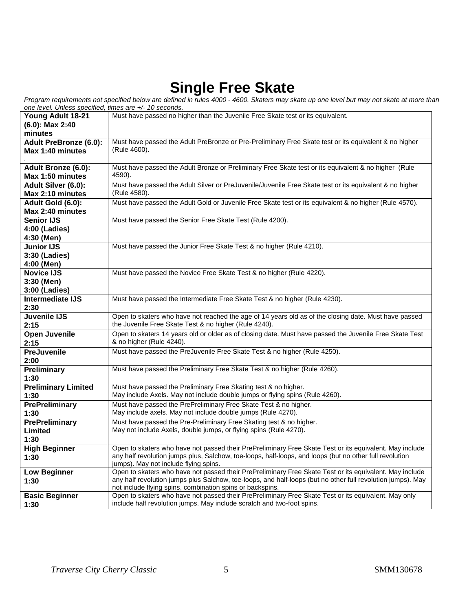# **Single Free Skate**

*Program requirements not specified below are defined in rules 4000 - 4600. Skaters may skate up one level but may not skate at more than one level. Unless specified, times are +/- 10 seconds.*

| <i>one level. Onless specified, unles are +/- TO seconds.</i> |                                                                                                             |
|---------------------------------------------------------------|-------------------------------------------------------------------------------------------------------------|
| Young Adult 18-21                                             | Must have passed no higher than the Juvenile Free Skate test or its equivalent.                             |
| $(6.0)$ : Max 2:40                                            |                                                                                                             |
| minutes                                                       |                                                                                                             |
| <b>Adult PreBronze (6.0):</b>                                 | Must have passed the Adult PreBronze or Pre-Preliminary Free Skate test or its equivalent & no higher       |
| Max 1:40 minutes                                              | (Rule 4600).                                                                                                |
|                                                               |                                                                                                             |
|                                                               |                                                                                                             |
| Adult Bronze (6.0):                                           | Must have passed the Adult Bronze or Preliminary Free Skate test or its equivalent & no higher (Rule        |
| Max 1:50 minutes                                              | 4590).                                                                                                      |
| Adult Silver (6.0):                                           | Must have passed the Adult Silver or PreJuvenile/Juvenile Free Skate test or its equivalent & no higher     |
| Max 2:10 minutes                                              | (Rule 4580).                                                                                                |
| Adult Gold (6.0):                                             | Must have passed the Adult Gold or Juvenile Free Skate test or its equivalent & no higher (Rule 4570).      |
| Max 2:40 minutes                                              |                                                                                                             |
| <b>Senior IJS</b>                                             | Must have passed the Senior Free Skate Test (Rule 4200).                                                    |
| 4:00 (Ladies)                                                 |                                                                                                             |
|                                                               |                                                                                                             |
| 4:30 (Men)                                                    |                                                                                                             |
| <b>Junior IJS</b>                                             | Must have passed the Junior Free Skate Test & no higher (Rule 4210).                                        |
| 3:30 (Ladies)                                                 |                                                                                                             |
| 4:00 (Men)                                                    |                                                                                                             |
| <b>Novice IJS</b>                                             | Must have passed the Novice Free Skate Test & no higher (Rule 4220).                                        |
| 3:30 (Men)                                                    |                                                                                                             |
| 3:00 (Ladies)                                                 |                                                                                                             |
| Intermediate IJS                                              | Must have passed the Intermediate Free Skate Test & no higher (Rule 4230).                                  |
| 2:30                                                          |                                                                                                             |
| Juvenile IJS                                                  | Open to skaters who have not reached the age of 14 years old as of the closing date. Must have passed       |
| 2:15                                                          | the Juvenile Free Skate Test & no higher (Rule 4240).                                                       |
| <b>Open Juvenile</b>                                          | Open to skaters 14 years old or older as of closing date. Must have passed the Juvenile Free Skate Test     |
| 2:15                                                          | & no higher (Rule 4240).                                                                                    |
|                                                               |                                                                                                             |
| <b>PreJuvenile</b>                                            | Must have passed the PreJuvenile Free Skate Test & no higher (Rule 4250).                                   |
| 2:00                                                          |                                                                                                             |
| Preliminary                                                   | Must have passed the Preliminary Free Skate Test & no higher (Rule 4260).                                   |
| 1:30                                                          |                                                                                                             |
| <b>Preliminary Limited</b>                                    | Must have passed the Preliminary Free Skating test & no higher.                                             |
| 1:30                                                          | May include Axels. May not include double jumps or flying spins (Rule 4260).                                |
| <b>PrePreliminary</b>                                         | Must have passed the PrePreliminary Free Skate Test & no higher.                                            |
| 1:30                                                          | May include axels. May not include double jumps (Rule 4270).                                                |
| <b>PrePreliminary</b>                                         | Must have passed the Pre-Preliminary Free Skating test & no higher.                                         |
| Limited                                                       | May not include Axels, double jumps, or flying spins (Rule 4270).                                           |
| 1:30                                                          |                                                                                                             |
| <b>High Beginner</b>                                          | Open to skaters who have not passed their PrePreliminary Free Skate Test or its equivalent. May include     |
| 1:30                                                          | any half revolution jumps plus, Salchow, toe-loops, half-loops, and loops (but no other full revolution     |
|                                                               | jumps). May not include flying spins.                                                                       |
| <b>Low Beginner</b>                                           | Open to skaters who have not passed their PrePreliminary Free Skate Test or its equivalent. May include     |
| 1:30                                                          | any half revolution jumps plus Salchow, toe-loops, and half-loops (but no other full revolution jumps). May |
|                                                               | not include flying spins, combination spins or backspins.                                                   |
| <b>Basic Beginner</b>                                         | Open to skaters who have not passed their PrePreliminary Free Skate Test or its equivalent. May only        |
| 1:30                                                          | include half revolution jumps. May include scratch and two-foot spins.                                      |
|                                                               |                                                                                                             |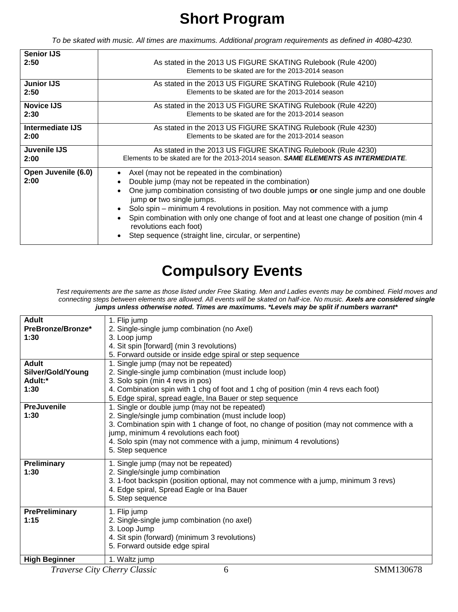# **Short Program**

*To be skated with music. All times are maximums. Additional program requirements as defined in 4080-4230.*

| <b>Senior IJS</b><br>2:50 | As stated in the 2013 US FIGURE SKATING Rulebook (Rule 4200)<br>Elements to be skated are for the 2013-2014 season |
|---------------------------|--------------------------------------------------------------------------------------------------------------------|
| <b>Junior IJS</b>         | As stated in the 2013 US FIGURE SKATING Rulebook (Rule 4210)                                                       |
| 2:50                      | Elements to be skated are for the 2013-2014 season                                                                 |
| <b>Novice IJS</b>         | As stated in the 2013 US FIGURE SKATING Rulebook (Rule 4220)                                                       |
| 2:30                      | Elements to be skated are for the 2013-2014 season                                                                 |
| Intermediate IJS          | As stated in the 2013 US FIGURE SKATING Rulebook (Rule 4230)                                                       |
| 2:00                      | Elements to be skated are for the 2013-2014 season                                                                 |
| Juvenile IJS              | As stated in the 2013 US FIGURE SKATING Rulebook (Rule 4230)                                                       |
| 2:00                      | Elements to be skated are for the 2013-2014 season. <b>SAME ELEMENTS AS INTERMEDIATE</b> .                         |
| Open Juvenile (6.0)       | Axel (may not be repeated in the combination)                                                                      |
| 2:00                      | Double jump (may not be repeated in the combination)                                                               |
|                           | One jump combination consisting of two double jumps or one single jump and one double<br>jump or two single jumps. |
|                           | Solo spin – minimum 4 revolutions in position. May not commence with a jump                                        |
|                           | Spin combination with only one change of foot and at least one change of position (min 4<br>revolutions each foot) |
|                           | Step sequence (straight line, circular, or serpentine)                                                             |

# **Compulsory Events**

*Test requirements are the same as those listed under Free Skating. Men and Ladies events may be combined. Field moves and connecting steps between elements are allowed. All events will be skated on half-ice. No music. Axels are considered single jumps unless otherwise noted. Times are maximums. \*Levels may be split if numbers warrant\**

| <b>Adult</b>          | 1. Flip jump                                                                              |
|-----------------------|-------------------------------------------------------------------------------------------|
| PreBronze/Bronze*     | 2. Single-single jump combination (no Axel)                                               |
| 1:30                  | 3. Loop jump                                                                              |
|                       | 4. Sit spin [forward] (min 3 revolutions)                                                 |
|                       | 5. Forward outside or inside edge spiral or step sequence                                 |
| <b>Adult</b>          | 1. Single jump (may not be repeated)                                                      |
| Silver/Gold/Young     | 2. Single-single jump combination (must include loop)                                     |
| Adult:*               | 3. Solo spin (min 4 revs in pos)                                                          |
| 1:30                  | 4. Combination spin with 1 chg of foot and 1 chg of position (min 4 revs each foot)       |
|                       | 5. Edge spiral, spread eagle, Ina Bauer or step sequence                                  |
| <b>PreJuvenile</b>    | 1. Single or double jump (may not be repeated)                                            |
| 1:30                  | 2. Single/single jump combination (must include loop)                                     |
|                       | 3. Combination spin with 1 change of foot, no change of position (may not commence with a |
|                       | jump, minimum 4 revolutions each foot)                                                    |
|                       | 4. Solo spin (may not commence with a jump, minimum 4 revolutions)                        |
|                       | 5. Step sequence                                                                          |
|                       |                                                                                           |
| Preliminary           | 1. Single jump (may not be repeated)                                                      |
| 1:30                  | 2. Single/single jump combination                                                         |
|                       | 3. 1-foot backspin (position optional, may not commence with a jump, minimum 3 revs)      |
|                       | 4. Edge spiral, Spread Eagle or Ina Bauer                                                 |
|                       | 5. Step sequence                                                                          |
| <b>PrePreliminary</b> | 1. Flip jump                                                                              |
| 1:15                  | 2. Single-single jump combination (no axel)                                               |
|                       | 3. Loop Jump                                                                              |
|                       | 4. Sit spin (forward) (minimum 3 revolutions)                                             |
|                       | 5. Forward outside edge spiral                                                            |
|                       |                                                                                           |
| <b>High Beginner</b>  | 1. Waltz jump                                                                             |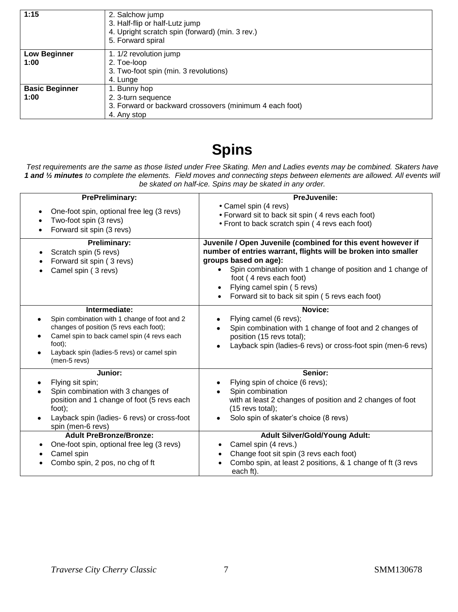| 1:15                          | 2. Salchow jump<br>3. Half-flip or half-Lutz jump<br>4. Upright scratch spin (forward) (min. 3 rev.)<br>5. Forward spiral |
|-------------------------------|---------------------------------------------------------------------------------------------------------------------------|
| <b>Low Beginner</b><br>1:00   | 1. 1/2 revolution jump<br>2. Toe-loop<br>3. Two-foot spin (min. 3 revolutions)<br>4. Lunge                                |
| <b>Basic Beginner</b><br>1:00 | 1. Bunny hop<br>2. 3-turn sequence<br>3. Forward or backward crossovers (minimum 4 each foot)<br>4. Any stop              |

## **Spins**

*Test requirements are the same as those listed under Free Skating. Men and Ladies events may be combined. Skaters have 1 and ½ minutes to complete the elements. Field moves and connecting steps between elements are allowed. All events will be skated on half-ice. Spins may be skated in any order.*

| <b>PrePreliminary:</b>                                                                                                                                                                                                                                                                                                        | PreJuvenile:                                                                                                                                                                                                                                                                                                                                                                      |
|-------------------------------------------------------------------------------------------------------------------------------------------------------------------------------------------------------------------------------------------------------------------------------------------------------------------------------|-----------------------------------------------------------------------------------------------------------------------------------------------------------------------------------------------------------------------------------------------------------------------------------------------------------------------------------------------------------------------------------|
| One-foot spin, optional free leg (3 revs)<br>$\bullet$<br>Two-foot spin (3 revs)<br>Forward sit spin (3 revs)                                                                                                                                                                                                                 | • Camel spin (4 revs)<br>• Forward sit to back sit spin (4 revs each foot)<br>• Front to back scratch spin (4 revs each foot)                                                                                                                                                                                                                                                     |
| <b>Preliminary:</b><br>Scratch spin (5 revs)<br>٠<br>Forward sit spin (3 revs)<br>$\bullet$<br>Camel spin (3 revs)                                                                                                                                                                                                            | Juvenile / Open Juvenile (combined for this event however if<br>number of entries warrant, flights will be broken into smaller<br>groups based on age):<br>Spin combination with 1 change of position and 1 change of<br>foot (4 revs each foot)<br>Flying camel spin (5 revs)<br>Forward sit to back sit spin (5 revs each foot)                                                 |
| Intermediate:<br>Spin combination with 1 change of foot and 2<br>changes of position (5 revs each foot);<br>Camel spin to back camel spin (4 revs each<br>foot);<br>Layback spin (ladies-5 revs) or camel spin<br>(men-5 revs)                                                                                                | Novice:<br>Flying camel (6 revs);<br>Spin combination with 1 change of foot and 2 changes of<br>position (15 revs total);<br>Layback spin (ladies-6 revs) or cross-foot spin (men-6 revs)<br>$\bullet$                                                                                                                                                                            |
| Junior:<br>Flying sit spin;<br>Spin combination with 3 changes of<br>position and 1 change of foot (5 revs each<br>foot);<br>Layback spin (ladies- 6 revs) or cross-foot<br>spin (men-6 revs)<br><b>Adult PreBronze/Bronze:</b><br>One-foot spin, optional free leg (3 revs)<br>Camel spin<br>Combo spin, 2 pos, no chg of ft | Senior:<br>Flying spin of choice (6 revs);<br>Spin combination<br>with at least 2 changes of position and 2 changes of foot<br>$(15$ revs total);<br>Solo spin of skater's choice (8 revs)<br><b>Adult Silver/Gold/Young Adult:</b><br>Camel spin (4 revs.)<br>Change foot sit spin (3 revs each foot)<br>Combo spin, at least 2 positions, & 1 change of ft (3 revs<br>each ft). |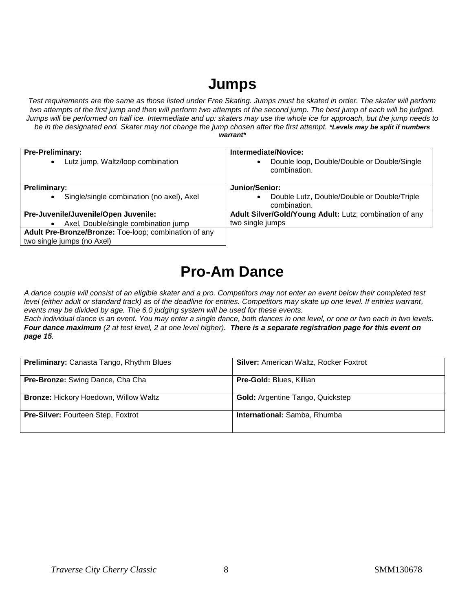## **Jumps**

*Test requirements are the same as those listed under Free Skating. Jumps must be skated in order. The skater will perform two attempts of the first jump and then will perform two attempts of the second jump. The best jump of each will be judged. Jumps will be performed on half ice. Intermediate and up: skaters may use the whole ice for approach, but the jump needs to be in the designated end. Skater may not change the jump chosen after the first attempt. \*Levels may be split if numbers warrant\**

| <b>Pre-Preliminary:</b>                                | Intermediate/Novice:                                                     |
|--------------------------------------------------------|--------------------------------------------------------------------------|
| Lutz jump, Waltz/loop combination<br>$\bullet$         | Double loop, Double/Double or Double/Single<br>$\bullet$<br>combination. |
| <b>Preliminary:</b>                                    | Junior/Senior:                                                           |
| Single/single combination (no axel), Axel<br>$\bullet$ | Double Lutz, Double/Double or Double/Triple<br>$\bullet$<br>combination. |
| Pre-Juvenile/Juvenile/Open Juvenile:                   | Adult Silver/Gold/Young Adult: Lutz; combination of any                  |
| Axel, Double/single combination jump                   | two single jumps                                                         |
| Adult Pre-Bronze/Bronze: Toe-loop; combination of any  |                                                                          |
| two single jumps (no Axel)                             |                                                                          |

## **Pro-Am Dance**

*A dance couple will consist of an eligible skater and a pro. Competitors may not enter an event below their completed test level (either adult or standard track) as of the deadline for entries. Competitors may skate up one level. If entries warrant, events may be divided by age. The 6.0 judging system will be used for these events.* 

*Each individual dance is an event. You may enter a single dance, both dances in one level, or one or two each in two levels. Four dance maximum (2 at test level, 2 at one level higher). There is a separate registration page for this event on page 15.*

| <b>Preliminary:</b> Canasta Tango, Rhythm Blues | <b>Silver: American Waltz, Rocker Foxtrot</b> |
|-------------------------------------------------|-----------------------------------------------|
| Pre-Bronze: Swing Dance, Cha Cha                | Pre-Gold: Blues, Killian                      |
| <b>Bronze: Hickory Hoedown, Willow Waltz</b>    | <b>Gold:</b> Argentine Tango, Quickstep       |
| Pre-Silver: Fourteen Step, Foxtrot              | International: Samba, Rhumba                  |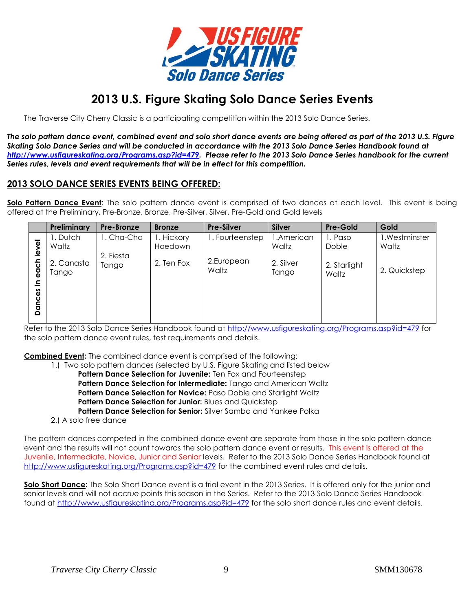

## **2013 U.S. Figure Skating Solo Dance Series Events**

The Traverse City Cherry Classic is a participating competition within the 2013 Solo Dance Series.

*The solo pattern dance event, combined event and solo short dance events are being offered as part of the 2013 U.S. Figure Skating Solo Dance Series and will be conducted in accordance with the 2013 Solo Dance Series Handbook found at [http://www.usfigureskating.org/Programs.asp?id=479.](http://www.usfigureskating.org/Programs.asp?id=479) Please refer to the 2013 Solo Dance Series handbook for the current Series rules, levels and event requirements that will be in effect for this competition.* 

### **2013 SOLO DANCE SERIES EVENTS BEING OFFERED:**

**Solo Pattern Dance Event**: The solo pattern dance event is comprised of two dances at each level. This event is being offered at the Preliminary, Pre-Bronze, Bronze, Pre-Silver, Silver, Pre-Gold and Gold levels

|                                                    | Preliminary         | Pre-Bronze         | <b>Bronze</b>         | <b>Pre-Silver</b>   | <b>Silver</b>       | <b>Pre-Gold</b>       | Gold                    |
|----------------------------------------------------|---------------------|--------------------|-----------------------|---------------------|---------------------|-----------------------|-------------------------|
| ୕ୢଌ                                                | . Dutch<br>Waltz    | 1. Cha-Cha         | I. Hickory<br>Hoedown | 1. Fourteenstep     | 1.American<br>Waltz | 1. Paso<br>Doble      | 1. Westminster<br>Waltz |
| ₫<br>ᅩ<br>$\mathbf{u}$<br><b>O</b><br>크.<br>Dances | 2. Canasta<br>Tango | 2. Fiesta<br>Tango | 2. Ten Fox            | 2.European<br>Waltz | 2. Silver<br>Tango  | 2. Starlight<br>Waltz | 2. Quickstep            |
|                                                    |                     |                    |                       |                     |                     |                       |                         |

Refer to the 2013 Solo Dance Series Handbook found at<http://www.usfigureskating.org/Programs.asp?id=479> for the solo pattern dance event rules, test requirements and details.

**Combined Event:** The combined dance event is comprised of the following:

- 1.) Two solo pattern dances (selected by U.S. Figure Skating and listed below
	- **Pattern Dance Selection for Juvenile:** Ten Fox and Fourteenstep **Pattern Dance Selection for Intermediate:** Tango and American Waltz **Pattern Dance Selection for Novice:** Paso Doble and Starlight Waltz **Pattern Dance Selection for Junior:** Blues and Quickstep **Pattern Dance Selection for Senior:** Silver Samba and Yankee Polka
- 2.) A solo free dance

The pattern dances competed in the combined dance event are separate from those in the solo pattern dance event and the results will not count towards the solo pattern dance event or results. This event is offered at the Juvenile, Intermediate, Novice, Junior and Senior levels. Refer to the 2013 Solo Dance Series Handbook found at <http://www.usfigureskating.org/Programs.asp?id=479> for the combined event rules and details.

**Solo Short Dance:** The Solo Short Dance event is a trial event in the 2013 Series. It is offered only for the junior and senior levels and will not accrue points this season in the Series. Refer to the 2013 Solo Dance Series Handbook found at<http://www.usfigureskating.org/Programs.asp?id=479> for the solo short dance rules and event details.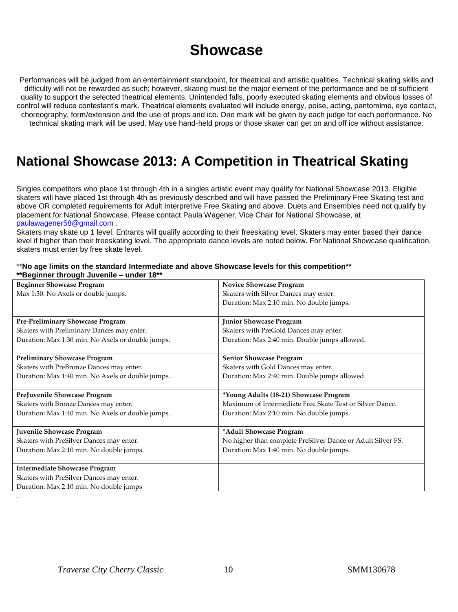## **Showcase**

Performances will be judged from an entertainment standpoint, for theatrical and artistic qualities. Technical skating skills and difficulty will not be rewarded as such; however, skating must be the major element of the performance and be of sufficient quality to support the selected theatrical elements. Unintended falls, poorly executed skating elements and obvious losses of control will reduce contestant's mark. Theatrical elements evaluated will include energy, poise, acting, pantomime, eye contact, choreography, form/extension and the use of props and ice. One mark will be given by each judge for each performance. No technical skating mark will be used. May use hand-held props or those skater can get on and off ice without assistance.

## **National Showcase 2013: A Competition in Theatrical Skating**

Singles competitors who place 1st through 4th in a singles artistic event may qualify for National Showcase 2013. Eligible skaters will have placed 1st through 4th as previously described and will have passed the Preliminary Free Skating test and above OR completed requirements for Adult Interpretive Free Skating and above. Duets and Ensembles need not qualify by placement for National Showcase. Please contact Paula Wagener, Vice Chair for National Showcase, at [paulawagener58@gmail.com](mailto:paulawagener58@gmail.com) .

Skaters may skate up 1 level. Entrants will qualify according to their freeskating level. Skaters may enter based their dance level if higher than their freeskating level. The appropriate dance levels are noted below. For National Showcase qualification, skaters must enter by free skate level.

| **No age limits on the standard Intermediate and above Showcase levels for this competition** |  |
|-----------------------------------------------------------------------------------------------|--|
| **Beginner through Juvenile - under 18**                                                      |  |

| <b>Beginner Showcase Program</b>                  | <b>Novice Showcase Program</b>                              |
|---------------------------------------------------|-------------------------------------------------------------|
| Max 1:30. No Axels or double jumps.               | Skaters with Silver Dances may enter.                       |
|                                                   | Duration: Max 2:10 min. No double jumps.                    |
|                                                   |                                                             |
| Pre-Preliminary Showcase Program                  | <b>Junior Showcase Program</b>                              |
| Skaters with Preliminary Dances may enter.        | Skaters with PreGold Dances may enter.                      |
| Duration: Max 1:30 min. No Axels or double jumps. | Duration: Max 2:40 min. Double jumps allowed.               |
|                                                   |                                                             |
| <b>Preliminary Showcase Program</b>               | <b>Senior Showcase Program</b>                              |
| Skaters with PreBronze Dances may enter.          | Skaters with Gold Dances may enter.                         |
| Duration: Max 1:40 min. No Axels or double jumps. | Duration: Max 2:40 min. Double jumps allowed.               |
|                                                   |                                                             |
| PreJuvenile Showcase Program                      | *Young Adults (18-21) Showcase Program                      |
| Skaters with Bronze Dances may enter.             | Maximum of Intermediate Free Skate Test or Silver Dance.    |
| Duration: Max 1:40 min. No Axels or double jumps. | Duration: Max 2:10 min. No double jumps.                    |
|                                                   |                                                             |
| Juvenile Showcase Program                         | *Adult Showcase Program                                     |
| Skaters with PreSilver Dances may enter.          | No higher than complete PreSilver Dance or Adult Silver FS. |
| Duration: Max 2:10 min. No double jumps.          | Duration: Max 1:40 min. No double jumps.                    |
|                                                   |                                                             |
| <b>Intermediate Showcase Program</b>              |                                                             |
| Skaters with PreSilver Dances may enter.          |                                                             |
| Duration: Max 2:10 min. No double jumps           |                                                             |

.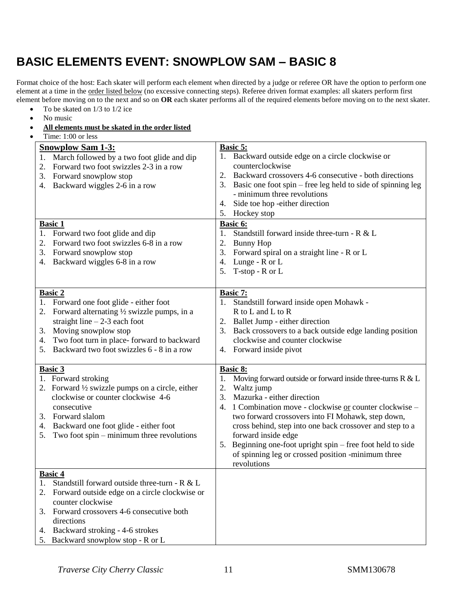## **BASIC ELEMENTS EVENT: SNOWPLOW SAM – BASIC 8**

Format choice of the host: Each skater will perform each element when directed by a judge or referee OR have the option to perform one element at a time in the order listed below (no excessive connecting steps). Referee driven format examples: all skaters perform first element before moving on to the next and so on **OR** each skater performs all of the required elements before moving on to the next skater.

- $\bullet$  To be skated on 1/3 to 1/2 ice
- No music
- **All elements must be skated in the order listed**  $\overline{\text{Time: } 1:00 \text{ or less}}$

| THILE. 1.00 OF JESS                                                                                                                                                                                                                                                                             |                                                                                                                                                                                                                                                                                                                                                                                                                                                                                    |
|-------------------------------------------------------------------------------------------------------------------------------------------------------------------------------------------------------------------------------------------------------------------------------------------------|------------------------------------------------------------------------------------------------------------------------------------------------------------------------------------------------------------------------------------------------------------------------------------------------------------------------------------------------------------------------------------------------------------------------------------------------------------------------------------|
| <b>Snowplow Sam 1-3:</b><br>1. March followed by a two foot glide and dip<br>Forward two foot swizzles 2-3 in a row<br>2.<br>Forward snowplow stop<br>3.<br>Backward wiggles 2-6 in a row<br>4.                                                                                                 | Basic 5:<br>1. Backward outside edge on a circle clockwise or<br>counterclockwise<br>Backward crossovers 4-6 consecutive - both directions<br>2.<br>Basic one foot spin – free leg held to side of spinning leg<br>3.<br>- minimum three revolutions<br>Side toe hop -either direction<br>4.                                                                                                                                                                                       |
|                                                                                                                                                                                                                                                                                                 | 5. Hockey stop                                                                                                                                                                                                                                                                                                                                                                                                                                                                     |
| <b>Basic 1</b><br>1. Forward two foot glide and dip<br>Forward two foot swizzles 6-8 in a row<br>2.<br>3. Forward snowplow stop<br>Backward wiggles 6-8 in a row<br>4.                                                                                                                          | Basic 6:<br>Standstill forward inside three-turn - R & L<br>1.<br><b>Bunny Hop</b><br>2.<br>3.<br>Forward spiral on a straight line - R or L<br>Lunge - R or L<br>4.<br>T-stop - R or L<br>5.                                                                                                                                                                                                                                                                                      |
| <b>Basic 2</b><br>1. Forward one foot glide - either foot<br>Forward alternating $\frac{1}{2}$ swizzle pumps, in a<br>straight line $-2-3$ each foot<br>Moving snowplow stop<br>3.<br>Two foot turn in place-forward to backward<br>4.<br>Backward two foot swizzles 6 - 8 in a row<br>5.       | Basic 7:<br>1. Standstill forward inside open Mohawk -<br>R to L and L to R<br>2. Ballet Jump - either direction<br>Back crossovers to a back outside edge landing position<br>3.<br>clockwise and counter clockwise<br>Forward inside pivot<br>4.                                                                                                                                                                                                                                 |
| <b>Basic 3</b><br>1. Forward stroking<br>2. Forward $\frac{1}{2}$ swizzle pumps on a circle, either<br>clockwise or counter clockwise 4-6<br>consecutive<br>Forward slalom<br>3.<br>Backward one foot glide - either foot<br>4.<br>Two foot $spin - minimum$ three revolutions<br>5.            | Basic 8:<br>1.<br>Moving forward outside or forward inside three-turns R & L<br>2.<br>Waltz jump<br>Mazurka - either direction<br>3.<br>1 Combination move - clockwise or counter clockwise -<br>4.<br>two forward crossovers into FI Mohawk, step down,<br>cross behind, step into one back crossover and step to a<br>forward inside edge<br>Beginning one-foot upright spin – free foot held to side<br>5.<br>of spinning leg or crossed position -minimum three<br>revolutions |
| <b>Basic 4</b><br>Standstill forward outside three-turn - R & L<br>1.<br>Forward outside edge on a circle clockwise or<br>2.<br>counter clockwise<br>Forward crossovers 4-6 consecutive both<br>3.<br>directions<br>Backward stroking - 4-6 strokes<br>4.<br>5. Backward snowplow stop - R or L |                                                                                                                                                                                                                                                                                                                                                                                                                                                                                    |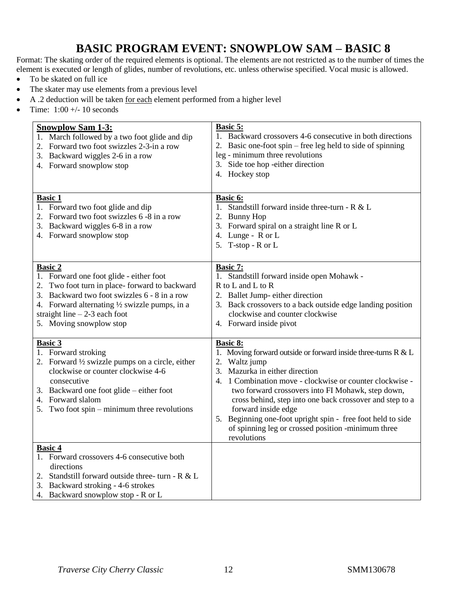## **BASIC PROGRAM EVENT: SNOWPLOW SAM – BASIC 8**

Format: The skating order of the required elements is optional. The elements are not restricted as to the number of times the element is executed or length of glides, number of revolutions, etc. unless otherwise specified. Vocal music is allowed.

- To be skated on full ice
- The skater may use elements from a previous level
- $\bullet$  A .2 deduction will be taken <u>for each</u> element performed from a higher level
- Time:  $1:00 +/- 10$  seconds

| <b>Snowplow Sam 1-3:</b>                                                                                                                                                                    | <b>Basic 5:</b>                                                                                                                                                                |
|---------------------------------------------------------------------------------------------------------------------------------------------------------------------------------------------|--------------------------------------------------------------------------------------------------------------------------------------------------------------------------------|
| 1. March followed by a two foot glide and dip                                                                                                                                               | 1. Backward crossovers 4-6 consecutive in both directions                                                                                                                      |
| 2. Forward two foot swizzles 2-3-in a row                                                                                                                                                   | 2. Basic one-foot spin – free leg held to side of spinning                                                                                                                     |
| Backward wiggles 2-6 in a row                                                                                                                                                               | leg - minimum three revolutions                                                                                                                                                |
| 3.                                                                                                                                                                                          | 3. Side toe hop -either direction                                                                                                                                              |
| 4. Forward snowplow stop                                                                                                                                                                    | 4. Hockey stop                                                                                                                                                                 |
| <b>Basic 1</b><br>1. Forward two foot glide and dip<br>2. Forward two foot swizzles 6 -8 in a row<br>3. Backward wiggles 6-8 in a row<br>4. Forward snowplow stop                           | <b>Basic 6:</b><br>1. Standstill forward inside three-turn - $R < L$<br>2. Bunny Hop<br>3. Forward spiral on a straight line R or L<br>4. Lunge - R or L<br>5. T-stop - R or L |
| <b>Basic 2</b>                                                                                                                                                                              | Basic 7:                                                                                                                                                                       |
| 1. Forward one foot glide - either foot                                                                                                                                                     | 1. Standstill forward inside open Mohawk -                                                                                                                                     |
| 2. Two foot turn in place-forward to backward                                                                                                                                               | R to L and L to R                                                                                                                                                              |
| 3. Backward two foot swizzles 6 - 8 in a row                                                                                                                                                | 2. Ballet Jump- either direction                                                                                                                                               |
| 4. Forward alternating $\frac{1}{2}$ swizzle pumps, in a                                                                                                                                    | 3. Back crossovers to a back outside edge landing position                                                                                                                     |
| straight line $-2-3$ each foot                                                                                                                                                              | clockwise and counter clockwise                                                                                                                                                |
| 5. Moving snowplow stop                                                                                                                                                                     | 4. Forward inside pivot                                                                                                                                                        |
| <b>Basic 3</b>                                                                                                                                                                              | <b>Basic 8:</b>                                                                                                                                                                |
| 1. Forward stroking                                                                                                                                                                         | 1. Moving forward outside or forward inside three-turns R & L                                                                                                                  |
| 2. Forward $\frac{1}{2}$ swizzle pumps on a circle, either                                                                                                                                  | 2. Waltz jump                                                                                                                                                                  |
| clockwise or counter clockwise 4-6                                                                                                                                                          | 3. Mazurka in either direction                                                                                                                                                 |
| consecutive                                                                                                                                                                                 | 4. 1 Combination move - clockwise or counter clockwise -                                                                                                                       |
| 3. Backward one foot glide – either foot                                                                                                                                                    | two forward crossovers into FI Mohawk, step down,                                                                                                                              |
| Forward slalom                                                                                                                                                                              | cross behind, step into one back crossover and step to a                                                                                                                       |
| 4.                                                                                                                                                                                          | forward inside edge                                                                                                                                                            |
| Two foot spin $-$ minimum three revolutions                                                                                                                                                 | 5. Beginning one-foot upright spin - free foot held to side                                                                                                                    |
| 5.                                                                                                                                                                                          | of spinning leg or crossed position -minimum three                                                                                                                             |
| <b>Basic 4</b>                                                                                                                                                                              | revolutions                                                                                                                                                                    |
| 1. Forward crossovers 4-6 consecutive both<br>directions<br>2. Standstill forward outside three- turn - $R < L$<br>3. Backward stroking - 4-6 strokes<br>4. Backward snowplow stop - R or L |                                                                                                                                                                                |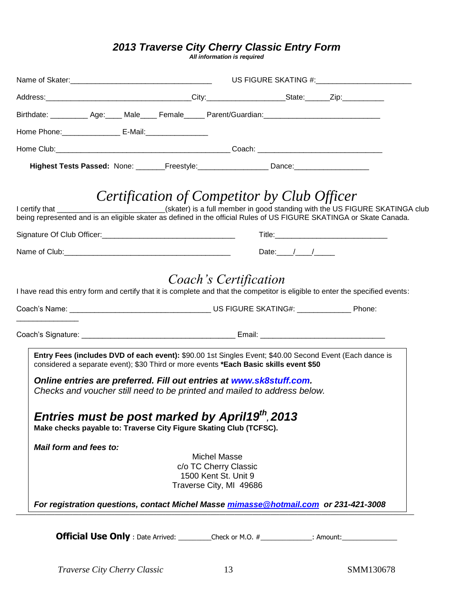### *2013 Traverse City Cherry Classic Entry Form*

*All information is required*

| Birthdate: ____________Age:______Male______Female______Parent/Guardian:_____________________________                                                                                                                                                                    |                                                                                                                                                                                                                                   |
|-------------------------------------------------------------------------------------------------------------------------------------------------------------------------------------------------------------------------------------------------------------------------|-----------------------------------------------------------------------------------------------------------------------------------------------------------------------------------------------------------------------------------|
| Home Phone: ____________________ E-Mail: ___________________                                                                                                                                                                                                            |                                                                                                                                                                                                                                   |
|                                                                                                                                                                                                                                                                         |                                                                                                                                                                                                                                   |
| Highest Tests Passed: None: ________Freestyle: ___________________Dance: ___________________________                                                                                                                                                                    |                                                                                                                                                                                                                                   |
|                                                                                                                                                                                                                                                                         | Certification of Competitor by Club Officer                                                                                                                                                                                       |
|                                                                                                                                                                                                                                                                         | I certify that ___________________________(skater) is a full member in good standing with the US FIGURE SKATINGA club<br>being represented and is an eligible skater as defined in the official Rules of US FIGURE SKATINGA or Sk |
|                                                                                                                                                                                                                                                                         |                                                                                                                                                                                                                                   |
|                                                                                                                                                                                                                                                                         | Date: $/$ / $/$                                                                                                                                                                                                                   |
| Entry Fees (includes DVD of each event): \$90.00 1st Singles Event; \$40.00 Second Event (Each dance is<br>considered a separate event); \$30 Third or more events *Each Basic skills event \$50<br>Online entries are preferred. Fill out entries at www.sk8stuff.com. |                                                                                                                                                                                                                                   |
| Checks and voucher still need to be printed and mailed to address below.<br>Entries must be post marked by April19 <sup>th</sup> , 2013<br>Make checks payable to: Traverse City Figure Skating Club (TCFSC).                                                           |                                                                                                                                                                                                                                   |
| Mail form and fees to:                                                                                                                                                                                                                                                  |                                                                                                                                                                                                                                   |
| <b>Michel Masse</b><br>c/o TC Cherry Classic<br>1500 Kent St. Unit 9<br>Traverse City, MI 49686                                                                                                                                                                         |                                                                                                                                                                                                                                   |
| For registration questions, contact Michel Masse mimasse@hotmail.com or 231-421-3008                                                                                                                                                                                    |                                                                                                                                                                                                                                   |
|                                                                                                                                                                                                                                                                         | <b>Official Use Only</b> : Date Arrived: Check or M.O. # ___________: Amount: _______________                                                                                                                                     |

*Traverse City Cherry Classic* 13 SMM130678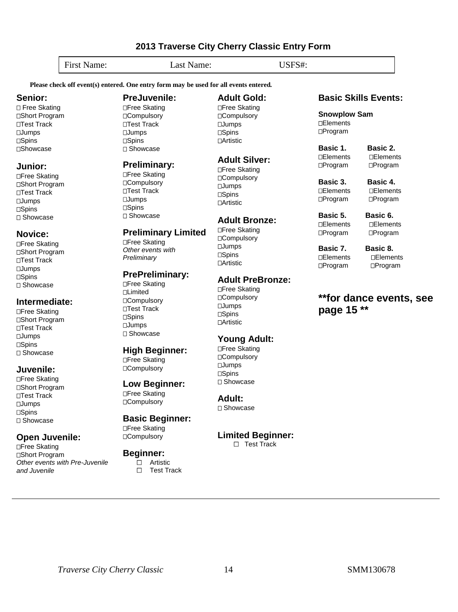*Other events with Pre-Juvenile*  **Beginner:**  $\Box$  Artistic

## □Free Skating

### □Compulsory

 $\Box$ 

**Preliminary Limited**

## **High Beginner:**

# □Compulsory

**PreJuvenile:** □Free Skating □Compulsory ⊔Test Track **DJumps** □Spins Showcase

**Preliminary:** □Free Skating □Compulsory □Test Track □**Jumps** □Spins Showcase

□Free Skating *Other events with Preliminary*

□Free Skating **Limited □Compulsory** □Test Track □Spins

 $I$ Jumps □ Showcase

**PrePreliminary:**

## Free Skating

# **Low Beginner:**

□Free Skating

## □Compulsory

Test Track

**Basic Beginner:**

**Adult:** □ Showcase

**Limited Beginner:**

□ Test Track

### **Basic Skills Events:**

**Snowplow Sam □Elements** Program

**Basic 1. Basic 2.** 

Elements Elements □Program □Program

**Basic 3. Basic 4.**  Elements Elements

□Program □Program

**Basic 5. Basic 6.** Elements Elements □Program □Program

**Basic 7. Basic 8.** □Elements □Elements Program Program

### **\*\*for dance events, see page 15 \*\***

**Please check off event(s) entered. One entry form may be used for all events entered***.*

# First Name: Last Name: USFS#:

**2013 Traverse City Cherry Classic Entry Form**

**Adult Gold:** □Free Skating □Compulsory Jumps  $\Box$ Spins **□Artistic** 

**Adult Silver:** □Free Skating □Compulsory **DJumps**  $\Box$ Spins **∩Artistic** 

**Adult Bronze:** □Free Skating □Compulsory **LJumps** □Spins Artistic

**Adult PreBronze:**

□Free Skating □Compulsory **DJumps □Spins nArtistic** 

**Young Adult:** □Free Skating □Compulsory **LJumps □Spins** □ Showcase

*Traverse City Cherry Classic* 14 SMM130678

**Senior:** □ Free Skating □Short Program Test Track **n**Jumps □Spins **□Showcase** 

**Junior:** Free Skating □Short Program Test Track **DJumps □Spins** □ Showcase

**Novice:** Free Skating □Short Program □Test Track **DJumps**  $T$ Spins □ Showcase

**Intermediate:** □Free Skating □Short Program □Test Track **□Jumps** □**Spins** □ Showcase

**Juvenile:** □Free Skating □Short Program □Test Track **DJumps**  $\Box$ Spins □ Showcase

**Open Juvenile:** □Free Skating □Short Program

*and Juvenile*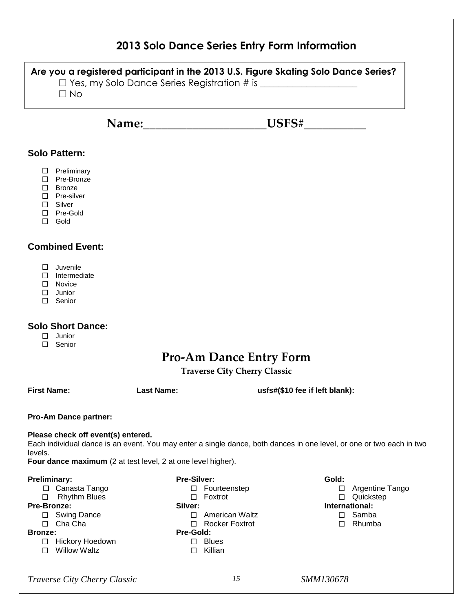| 2013 Solo Dance Series Entry Form Information                                                                                                                                                                                         |                                                                                                                                                 |                                                                                                 |  |
|---------------------------------------------------------------------------------------------------------------------------------------------------------------------------------------------------------------------------------------|-------------------------------------------------------------------------------------------------------------------------------------------------|-------------------------------------------------------------------------------------------------|--|
| Are you a registered participant in the 2013 U.S. Figure Skating Solo Dance Series?<br>$\Box$ No                                                                                                                                      |                                                                                                                                                 |                                                                                                 |  |
|                                                                                                                                                                                                                                       |                                                                                                                                                 | Name: USFS#                                                                                     |  |
| <b>Solo Pattern:</b>                                                                                                                                                                                                                  |                                                                                                                                                 |                                                                                                 |  |
| $\Box$ Preliminary<br>$\Box$ Pre-Bronze<br>□ Bronze<br>$\Box$ Pre-silver<br>$\Box$ Silver<br>$\Box$ Pre-Gold<br>$\Box$ Gold                                                                                                           |                                                                                                                                                 |                                                                                                 |  |
| <b>Combined Event:</b>                                                                                                                                                                                                                |                                                                                                                                                 |                                                                                                 |  |
| $\square$ Juvenile<br>$\Box$ Intermediate<br>$\Box$ Novice<br>$\Box$<br>Junior<br>□<br>Senior                                                                                                                                         |                                                                                                                                                 |                                                                                                 |  |
| <b>Solo Short Dance:</b><br>$\Box$<br>Junior<br>$\Box$ Senior                                                                                                                                                                         |                                                                                                                                                 |                                                                                                 |  |
|                                                                                                                                                                                                                                       | <b>Pro-Am Dance Entry Form</b><br><b>Traverse City Cherry Classic</b>                                                                           |                                                                                                 |  |
| <b>First Name:</b>                                                                                                                                                                                                                    | <b>Last Name:</b>                                                                                                                               | usfs#(\$10 fee if left blank):                                                                  |  |
| <b>Pro-Am Dance partner:</b>                                                                                                                                                                                                          |                                                                                                                                                 |                                                                                                 |  |
| Please check off event(s) entered.<br>Each individual dance is an event. You may enter a single dance, both dances in one level, or one or two each in two<br>levels.<br>Four dance maximum (2 at test level, 2 at one level higher). |                                                                                                                                                 |                                                                                                 |  |
| <b>Preliminary:</b><br>□ Canasta Tango<br>□<br><b>Rhythm Blues</b><br>Pre-Bronze:<br>□ Swing Dance<br>$\Box$ Cha Cha<br><b>Bronze:</b><br>Hickory Hoedown<br>$\Box$<br>$\Box$ Willow Waltz                                            | Pre-Silver:<br>□ Fourteenstep<br>$\Box$ Foxtrot<br>Silver:<br>□ American Waltz<br>□ Rocker Foxtrot<br>Pre-Gold:<br>$\square$ Blues<br>□ Killian | Gold:<br>□ Argentine Tango<br>□ Quickstep<br>International:<br>$\square$ Samba<br>$\Box$ Rhumba |  |

*Traverse City Cherry Classic 15 SMM130678*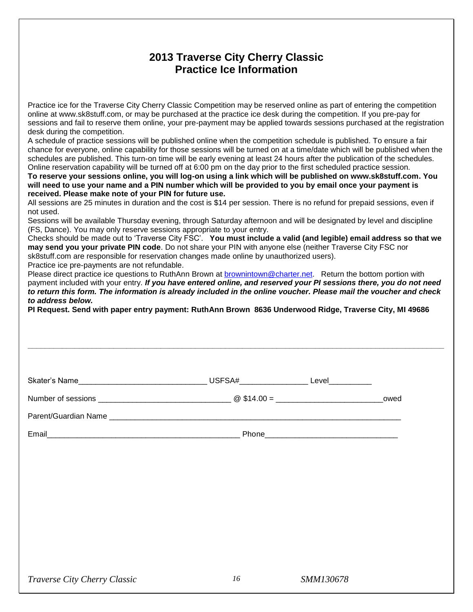### **2013 Traverse City Cherry Classic Practice Ice Information**

Practice ice for the Traverse City Cherry Classic Competition may be reserved online as part of entering the competition online at www.sk8stuff.com, or may be purchased at the practice ice desk during the competition. If you pre-pay for sessions and fail to reserve them online, your pre-payment may be applied towards sessions purchased at the registration desk during the competition.

A schedule of practice sessions will be published online when the competition schedule is published. To ensure a fair chance for everyone, online capability for those sessions will be turned on at a time/date which will be published when the schedules are published. This turn-on time will be early evening at least 24 hours after the publication of the schedules. Online reservation capability will be turned off at 6:00 pm on the day prior to the first scheduled practice session.

**To reserve your sessions online, you will log-on using a link which will be published on www.sk8stuff.com. You will need to use your name and a PIN number which will be provided to you by email once your payment is received. Please make note of your PIN for future use.** 

All sessions are 25 minutes in duration and the cost is \$14 per session. There is no refund for prepaid sessions, even if not used.

Sessions will be available Thursday evening, through Saturday afternoon and will be designated by level and discipline (FS, Dance). You may only reserve sessions appropriate to your entry.

Checks should be made out to 'Traverse City FSC'. **You must include a valid (and legible) email address so that we may send you your private PIN code**. Do not share your PIN with anyone else (neither Traverse City FSC nor sk8stuff.com are responsible for reservation changes made online by unauthorized users).

Practice ice pre-payments are not refundable.

Please direct practice ice questions to RuthAnn Brown at [brownintown@charter.net.](mailto:brownintown@charter.net) Return the bottom portion with payment included with your entry. *If you have entered online, and reserved your PI sessions there, you do not need to return this form. The information is already included in the online voucher. Please mail the voucher and check to address below.* 

**\_\_\_\_\_\_\_\_\_\_\_\_\_\_\_\_\_\_\_\_\_\_\_\_\_\_\_\_\_\_\_\_\_\_\_\_\_\_\_\_\_\_\_\_\_\_\_\_\_\_\_\_\_\_\_\_\_\_\_\_\_\_\_\_\_\_\_\_\_\_\_\_\_\_\_\_\_\_\_\_\_\_\_\_\_\_\_\_\_\_\_\_\_\_\_\_\_**

**PI Request. Send with paper entry payment: RuthAnn Brown 8636 Underwood Ridge, Traverse City, MI 49686**

| Skater's Name | USFSA#__________________ | Level___________ |      |
|---------------|--------------------------|------------------|------|
|               |                          |                  | owed |
|               |                          |                  |      |
| Email         |                          |                  |      |
|               |                          |                  |      |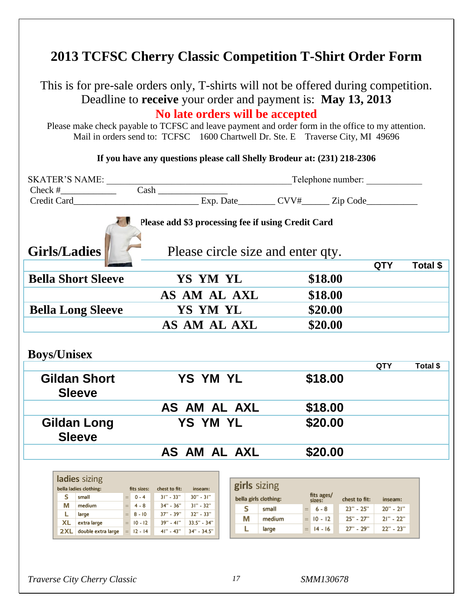## **2013 TCFSC Cherry Classic Competition T-Shirt Order Form**

This is for pre-sale orders only, T-shirts will not be offered during competition. Deadline to **receive** your order and payment is: **May 13, 2013 No late orders will be accepted**

Please make check payable to TCFSC and leave payment and order form in the office to my attention. Mail in orders send to: TCFSC 1600 Chartwell Dr. Ste. E Traverse City, MI 49696

**If you have any questions please call Shelly Brodeur at: (231) 218-2306**

|                                                                                                                |                                                          | Telephone number:                                 |  |
|----------------------------------------------------------------------------------------------------------------|----------------------------------------------------------|---------------------------------------------------|--|
| Check # $\qquad \qquad \qquad$ Cash                                                                            |                                                          |                                                   |  |
|                                                                                                                |                                                          |                                                   |  |
| Please add \$3 processing fee if using Credit Card<br><b>Girls/Ladies</b><br>Please circle size and enter qty. |                                                          |                                                   |  |
|                                                                                                                |                                                          | <b>QTY</b><br>Total \$                            |  |
| <b>Bella Short Sleeve</b>                                                                                      | YS YM YL                                                 | \$18.00                                           |  |
|                                                                                                                | AS AM AL AXL                                             | \$18.00                                           |  |
| <b>Bella Long Sleeve</b>                                                                                       | YS YM YL                                                 | \$20.00                                           |  |
|                                                                                                                | AS AM AL AXL                                             | \$20.00                                           |  |
| <b>Boys/Unisex</b><br><b>Gildan Short</b>                                                                      | <b>YS YM YL</b>                                          | QTY<br>Total \$                                   |  |
| <b>Sleeve</b>                                                                                                  |                                                          | \$18.00                                           |  |
|                                                                                                                | AS AM AL AXL                                             | \$18.00                                           |  |
| <b>Gildan Long</b><br><b>Sleeve</b>                                                                            | <b>YS YM YL</b>                                          | \$20.00                                           |  |
|                                                                                                                | AS AM AL AXL                                             | \$20.00                                           |  |
|                                                                                                                |                                                          |                                                   |  |
| ladies sizing                                                                                                  |                                                          |                                                   |  |
| bella ladies clothing:<br>fits sizes:                                                                          | girls sizing<br>chest to fit:<br>inseam:                 |                                                   |  |
| s.<br>$= 0 - 4$<br>small                                                                                       | 31" - 33"  <br>$30" - 31"$<br>bella girls clothing:      | fits ages/<br>chest to fit:<br>sizes:<br>inseam:  |  |
| $= 4 - 8$<br>M medium<br>$= 8 - 10$<br>L.                                                                      | 34" - 36" 31" - 32"<br>s<br>small<br>37" - 39" 32" - 33" | $= 6 - 8$<br>23" - 25"<br>$20" - 21"$             |  |
| large<br>XL extra large<br>$= 10 - 12$                                                                         | М<br>39" - 41" 33.5" - 34"                               | 25" - 27"<br>$21" - 22"$<br>medium<br>$= 10 - 12$ |  |
| $2XL$ double extra large $= 12 - 14$                                                                           | L<br>large<br>$41" - 43"$<br>34" - 34.5"                 | 27" - 29"<br>$22" - 23"$<br>$= 14 - 16$           |  |
|                                                                                                                |                                                          |                                                   |  |

*Traverse City Cherry Classic 17 SMM130678*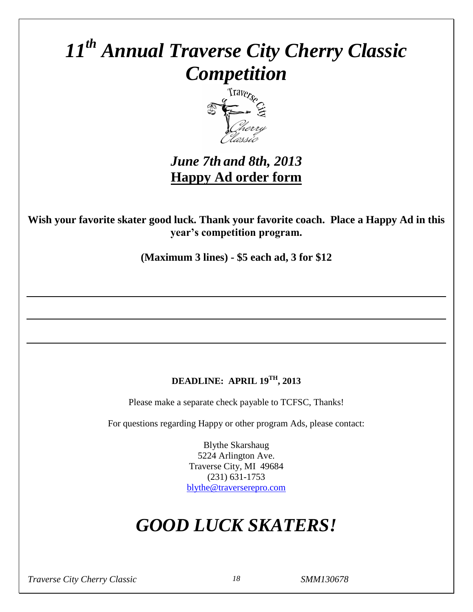# *11th Annual Traverse City Cherry Classic Competition*



*June 7th and 8th, 2013*  **Happy Ad order form**

**Wish your favorite skater good luck. Thank your favorite coach. Place a Happy Ad in this year's competition program.**

**(Maximum 3 lines) - \$5 each ad, 3 for \$12**

### **DEADLINE: APRIL 19 TH , 2013**

Please make a separate check payable to TCFSC, Thanks!

For questions regarding Happy or other program Ads, please contact:

Blythe Skarshaug 5224 Arlington Ave. Traverse City, MI 49684 (231) 631-1753 [blythe@traverserepro.com](mailto:blythe@traverserepro.com)

# *GOOD LUCK SKATERS!*

*Traverse City Cherry Classic 18 SMM130678*